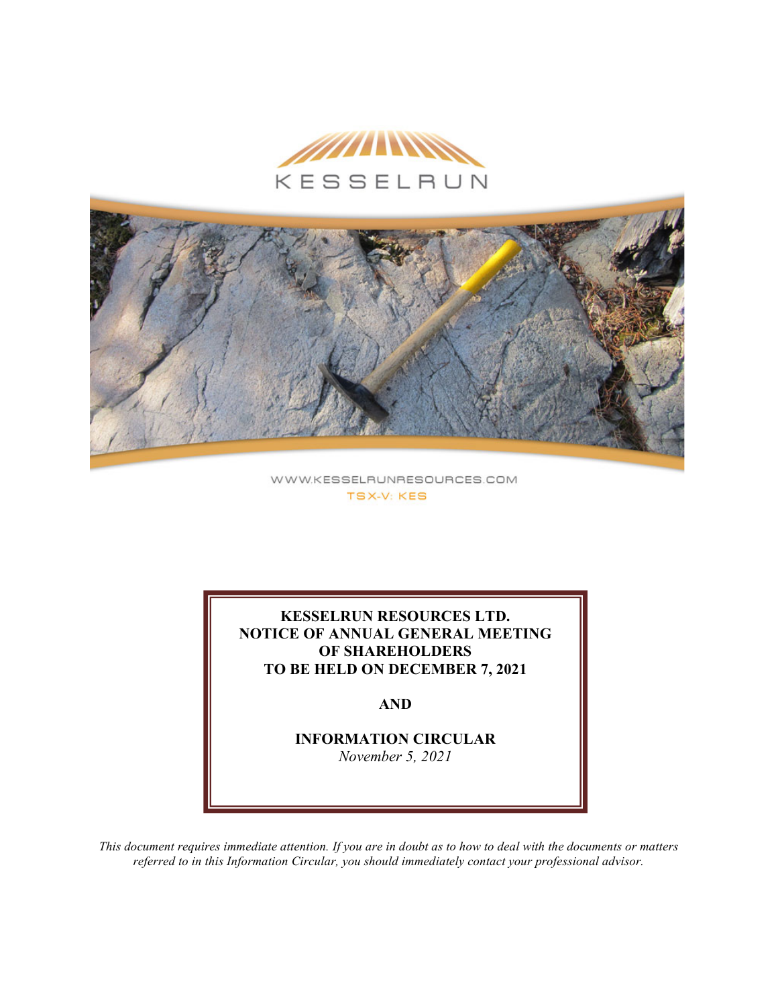

WWW.KESSELRUNRESOURCES.COM **TSX-V: KES** 

**KESSELRUN RESOURCES LTD. NOTICE OF ANNUAL GENERAL MEETING OF SHAREHOLDERS TO BE HELD ON DECEMBER 7, 2021**

**AND**

**INFORMATION CIRCULAR** *November 5, 2021*

*This document requires immediate attention. If you are in doubt as to how to deal with the documents or matters referred to in this Information Circular, you should immediately contact your professional advisor.*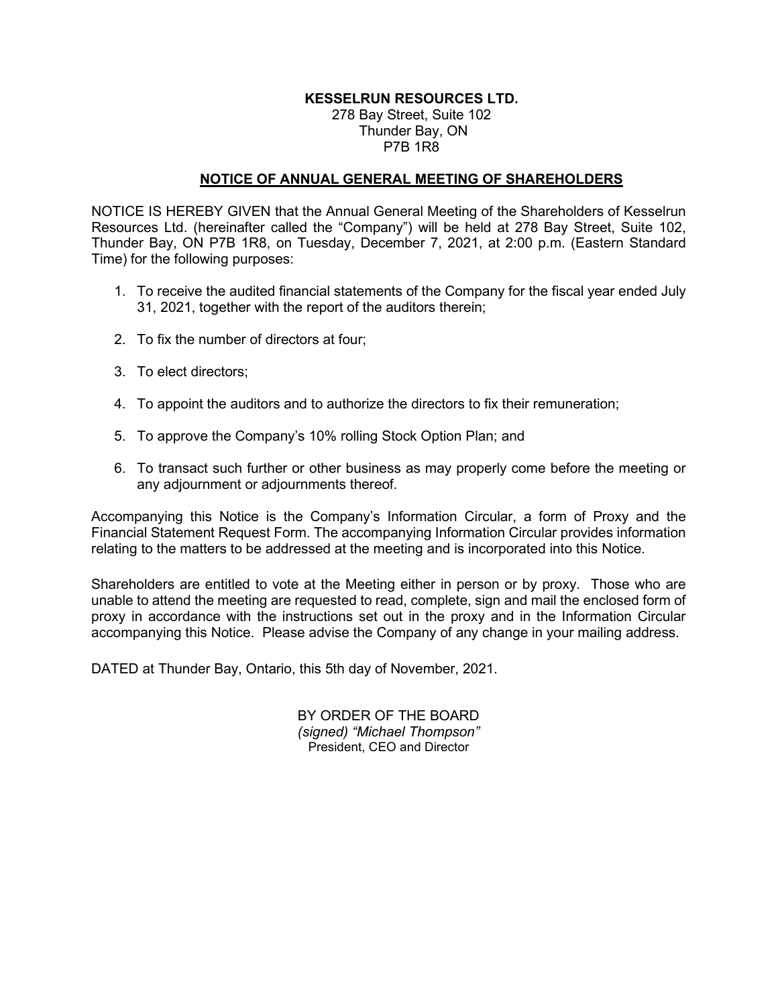# **KESSELRUN RESOURCES LTD.**

## 278 Bay Street, Suite 102 Thunder Bay, ON P7B 1R8

## **NOTICE OF ANNUAL GENERAL MEETING OF SHAREHOLDERS**

NOTICE IS HEREBY GIVEN that the Annual General Meeting of the Shareholders of Kesselrun Resources Ltd. (hereinafter called the "Company") will be held at 278 Bay Street, Suite 102, Thunder Bay, ON P7B 1R8, on Tuesday, December 7, 2021, at 2:00 p.m. (Eastern Standard Time) for the following purposes:

- 1. To receive the audited financial statements of the Company for the fiscal year ended July 31, 2021, together with the report of the auditors therein;
- 2. To fix the number of directors at four;
- 3. To elect directors;
- 4. To appoint the auditors and to authorize the directors to fix their remuneration;
- 5. To approve the Company's 10% rolling Stock Option Plan; and
- 6. To transact such further or other business as may properly come before the meeting or any adjournment or adjournments thereof.

Accompanying this Notice is the Company's Information Circular, a form of Proxy and the Financial Statement Request Form. The accompanying Information Circular provides information relating to the matters to be addressed at the meeting and is incorporated into this Notice.

Shareholders are entitled to vote at the Meeting either in person or by proxy. Those who are unable to attend the meeting are requested to read, complete, sign and mail the enclosed form of proxy in accordance with the instructions set out in the proxy and in the Information Circular accompanying this Notice. Please advise the Company of any change in your mailing address.

DATED at Thunder Bay, Ontario, this 5th day of November, 2021.

BY ORDER OF THE BOARD *(signed) "Michael Thompson"*  President, CEO and Director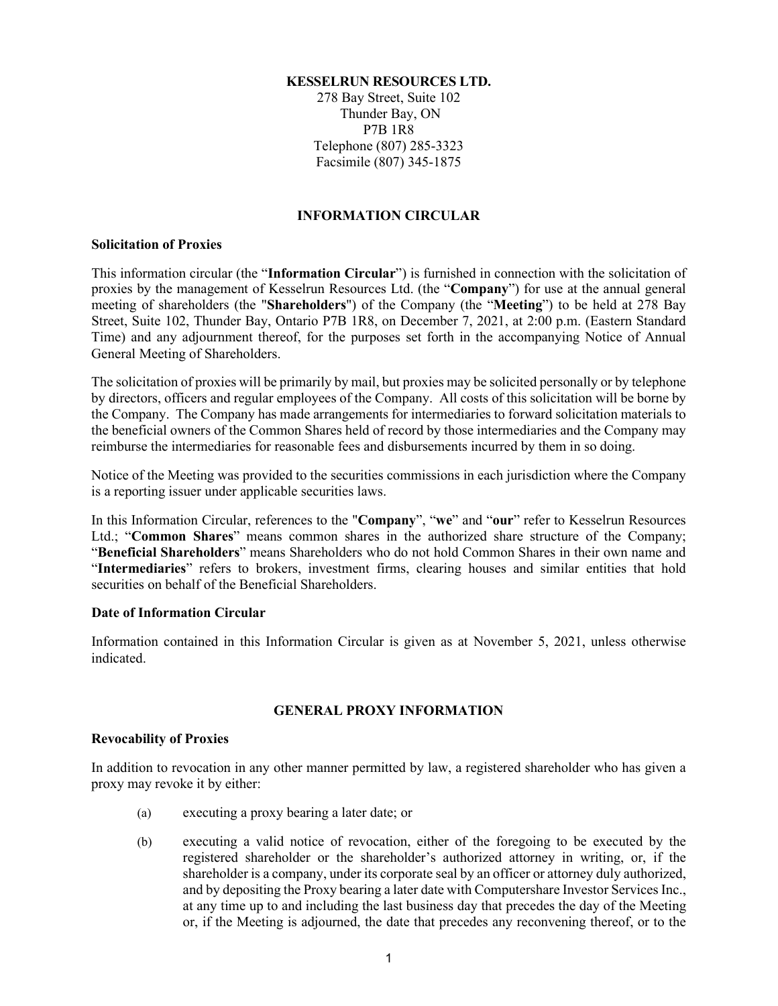### **KESSELRUN RESOURCES LTD.**

278 Bay Street, Suite 102 Thunder Bay, ON P7B 1R8 Telephone (807) 285-3323 Facsimile (807) 345-1875

## **INFORMATION CIRCULAR**

## **Solicitation of Proxies**

This information circular (the "**Information Circular**") is furnished in connection with the solicitation of proxies by the management of Kesselrun Resources Ltd. (the "**Company**") for use at the annual general meeting of shareholders (the "**Shareholders**") of the Company (the "**Meeting**") to be held at 278 Bay Street, Suite 102, Thunder Bay, Ontario P7B 1R8, on December 7, 2021, at 2:00 p.m. (Eastern Standard Time) and any adjournment thereof, for the purposes set forth in the accompanying Notice of Annual General Meeting of Shareholders.

The solicitation of proxies will be primarily by mail, but proxies may be solicited personally or by telephone by directors, officers and regular employees of the Company. All costs of this solicitation will be borne by the Company. The Company has made arrangements for intermediaries to forward solicitation materials to the beneficial owners of the Common Shares held of record by those intermediaries and the Company may reimburse the intermediaries for reasonable fees and disbursements incurred by them in so doing.

Notice of the Meeting was provided to the securities commissions in each jurisdiction where the Company is a reporting issuer under applicable securities laws.

In this Information Circular, references to the "**Company**", "**we**" and "**our**" refer to Kesselrun Resources Ltd.; "**Common Shares**" means common shares in the authorized share structure of the Company; "**Beneficial Shareholders**" means Shareholders who do not hold Common Shares in their own name and "**Intermediaries**" refers to brokers, investment firms, clearing houses and similar entities that hold securities on behalf of the Beneficial Shareholders.

## **Date of Information Circular**

Information contained in this Information Circular is given as at November 5, 2021, unless otherwise indicated.

## **GENERAL PROXY INFORMATION**

## **Revocability of Proxies**

In addition to revocation in any other manner permitted by law, a registered shareholder who has given a proxy may revoke it by either:

- (a) executing a proxy bearing a later date; or
- (b) executing a valid notice of revocation, either of the foregoing to be executed by the registered shareholder or the shareholder's authorized attorney in writing, or, if the shareholder is a company, under its corporate seal by an officer or attorney duly authorized, and by depositing the Proxy bearing a later date with Computershare Investor Services Inc., at any time up to and including the last business day that precedes the day of the Meeting or, if the Meeting is adjourned, the date that precedes any reconvening thereof, or to the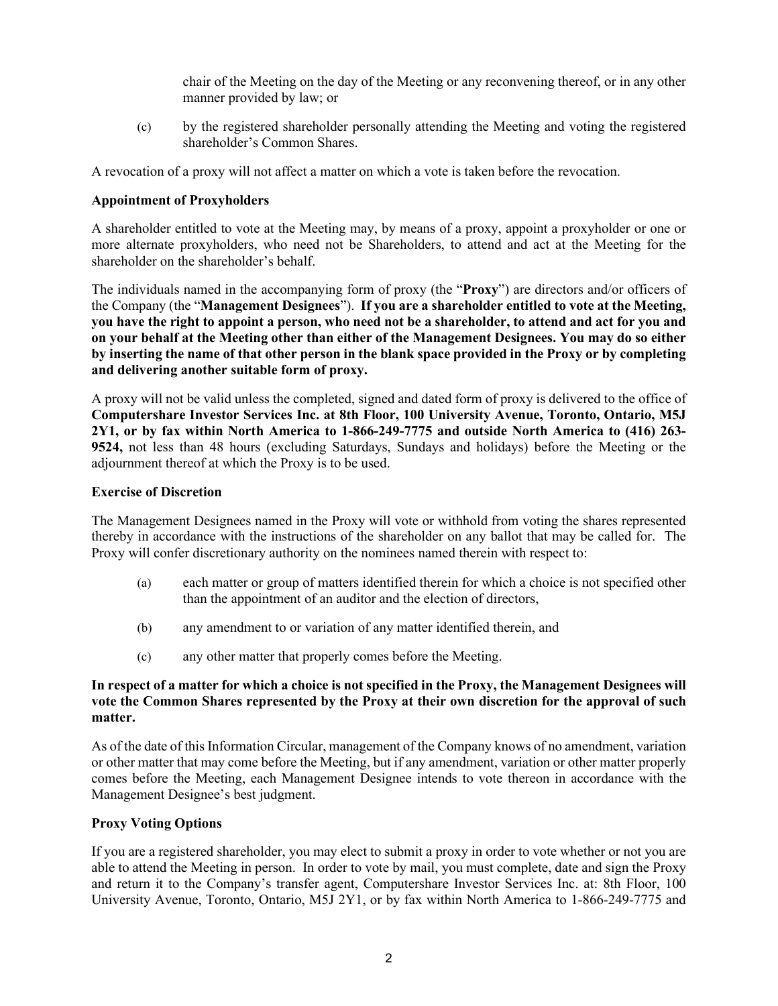chair of the Meeting on the day of the Meeting or any reconvening thereof, or in any other manner provided by law; or

(c) by the registered shareholder personally attending the Meeting and voting the registered shareholder's Common Shares.

A revocation of a proxy will not affect a matter on which a vote is taken before the revocation.

# **Appointment of Proxyholders**

A shareholder entitled to vote at the Meeting may, by means of a proxy, appoint a proxyholder or one or more alternate proxyholders, who need not be Shareholders, to attend and act at the Meeting for the shareholder on the shareholder's behalf.

The individuals named in the accompanying form of proxy (the "**Proxy**") are directors and/or officers of the Company (the "**Management Designees**"). **If you are a shareholder entitled to vote at the Meeting, you have the right to appoint a person, who need not be a shareholder, to attend and act for you and on your behalf at the Meeting other than either of the Management Designees. You may do so either by inserting the name of that other person in the blank space provided in the Proxy or by completing and delivering another suitable form of proxy.**

A proxy will not be valid unless the completed, signed and dated form of proxy is delivered to the office of **Computershare Investor Services Inc. at 8th Floor, 100 University Avenue, Toronto, Ontario, M5J 2Y1, or by fax within North America to 1-866-249-7775 and outside North America to (416) 263- 9524,** not less than 48 hours (excluding Saturdays, Sundays and holidays) before the Meeting or the adjournment thereof at which the Proxy is to be used.

## **Exercise of Discretion**

The Management Designees named in the Proxy will vote or withhold from voting the shares represented thereby in accordance with the instructions of the shareholder on any ballot that may be called for. The Proxy will confer discretionary authority on the nominees named therein with respect to:

- (a) each matter or group of matters identified therein for which a choice is not specified other than the appointment of an auditor and the election of directors,
- (b) any amendment to or variation of any matter identified therein, and
- (c) any other matter that properly comes before the Meeting.

## **In respect of a matter for which a choice is not specified in the Proxy, the Management Designees will vote the Common Shares represented by the Proxy at their own discretion for the approval of such matter.**

As of the date of this Information Circular, management of the Company knows of no amendment, variation or other matter that may come before the Meeting, but if any amendment, variation or other matter properly comes before the Meeting, each Management Designee intends to vote thereon in accordance with the Management Designee's best judgment.

## **Proxy Voting Options**

If you are a registered shareholder, you may elect to submit a proxy in order to vote whether or not you are able to attend the Meeting in person. In order to vote by mail, you must complete, date and sign the Proxy and return it to the Company's transfer agent, Computershare Investor Services Inc. at: 8th Floor, 100 University Avenue, Toronto, Ontario, M5J 2Y1, or by fax within North America to 1-866-249-7775 and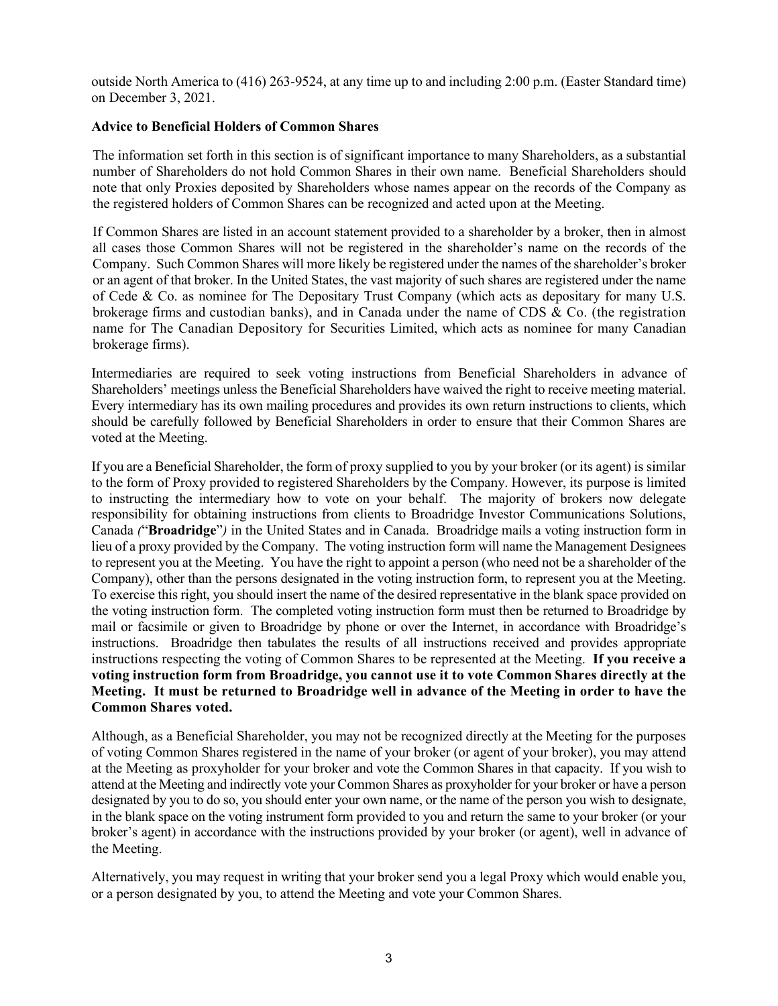outside North America to (416) 263-9524, at any time up to and including 2:00 p.m. (Easter Standard time) on December 3, 2021.

## **Advice to Beneficial Holders of Common Shares**

The information set forth in this section is of significant importance to many Shareholders, as a substantial number of Shareholders do not hold Common Shares in their own name. Beneficial Shareholders should note that only Proxies deposited by Shareholders whose names appear on the records of the Company as the registered holders of Common Shares can be recognized and acted upon at the Meeting.

If Common Shares are listed in an account statement provided to a shareholder by a broker, then in almost all cases those Common Shares will not be registered in the shareholder's name on the records of the Company. Such Common Shares will more likely be registered under the names of the shareholder's broker or an agent of that broker. In the United States, the vast majority of such shares are registered under the name of Cede & Co. as nominee for The Depositary Trust Company (which acts as depositary for many U.S. brokerage firms and custodian banks), and in Canada under the name of CDS & Co. (the registration name for The Canadian Depository for Securities Limited, which acts as nominee for many Canadian brokerage firms).

Intermediaries are required to seek voting instructions from Beneficial Shareholders in advance of Shareholders' meetings unless the Beneficial Shareholders have waived the right to receive meeting material. Every intermediary has its own mailing procedures and provides its own return instructions to clients, which should be carefully followed by Beneficial Shareholders in order to ensure that their Common Shares are voted at the Meeting.

If you are a Beneficial Shareholder, the form of proxy supplied to you by your broker (or its agent) is similar to the form of Proxy provided to registered Shareholders by the Company. However, its purpose is limited to instructing the intermediary how to vote on your behalf. The majority of brokers now delegate responsibility for obtaining instructions from clients to Broadridge Investor Communications Solutions, Canada *(*"**Broadridge**"*)* in the United States and in Canada. Broadridge mails a voting instruction form in lieu of a proxy provided by the Company. The voting instruction form will name the Management Designees to represent you at the Meeting. You have the right to appoint a person (who need not be a shareholder of the Company), other than the persons designated in the voting instruction form, to represent you at the Meeting. To exercise this right, you should insert the name of the desired representative in the blank space provided on the voting instruction form. The completed voting instruction form must then be returned to Broadridge by mail or facsimile or given to Broadridge by phone or over the Internet, in accordance with Broadridge's instructions. Broadridge then tabulates the results of all instructions received and provides appropriate instructions respecting the voting of Common Shares to be represented at the Meeting. **If you receive a voting instruction form from Broadridge, you cannot use it to vote Common Shares directly at the Meeting. It must be returned to Broadridge well in advance of the Meeting in order to have the Common Shares voted.**

Although, as a Beneficial Shareholder, you may not be recognized directly at the Meeting for the purposes of voting Common Shares registered in the name of your broker (or agent of your broker), you may attend at the Meeting as proxyholder for your broker and vote the Common Shares in that capacity. If you wish to attend at the Meeting and indirectly vote your Common Shares as proxyholder for your broker or have a person designated by you to do so, you should enter your own name, or the name of the person you wish to designate, in the blank space on the voting instrument form provided to you and return the same to your broker (or your broker's agent) in accordance with the instructions provided by your broker (or agent), well in advance of the Meeting.

Alternatively, you may request in writing that your broker send you a legal Proxy which would enable you, or a person designated by you, to attend the Meeting and vote your Common Shares.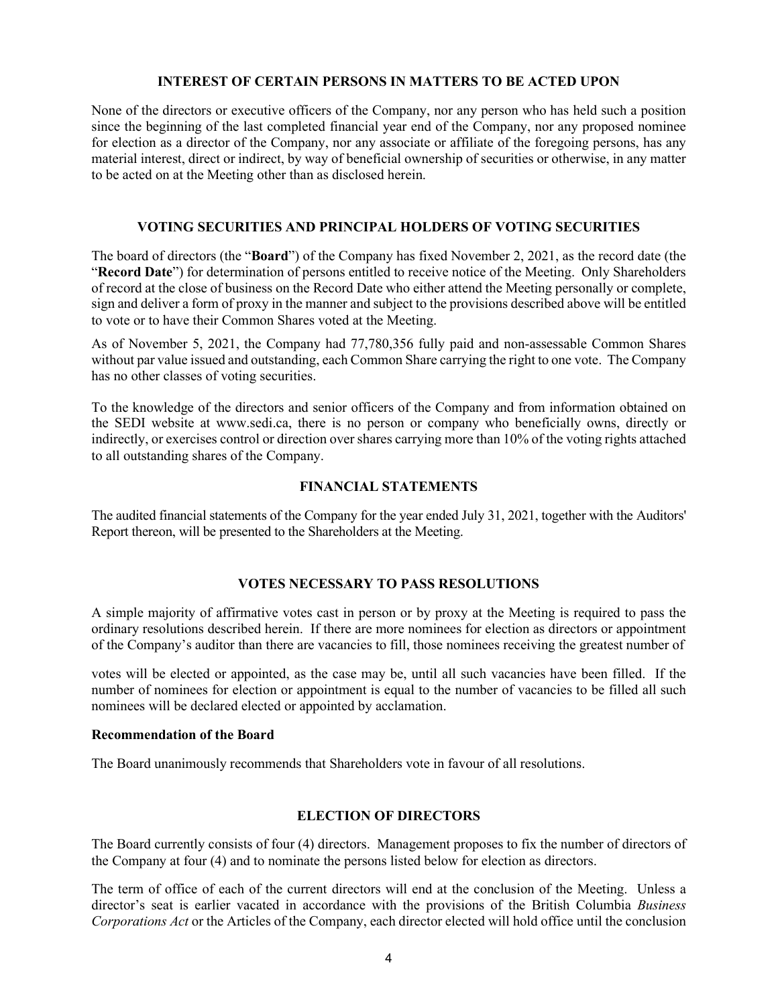#### **INTEREST OF CERTAIN PERSONS IN MATTERS TO BE ACTED UPON**

None of the directors or executive officers of the Company, nor any person who has held such a position since the beginning of the last completed financial year end of the Company, nor any proposed nominee for election as a director of the Company, nor any associate or affiliate of the foregoing persons, has any material interest, direct or indirect, by way of beneficial ownership of securities or otherwise, in any matter to be acted on at the Meeting other than as disclosed herein.

## **VOTING SECURITIES AND PRINCIPAL HOLDERS OF VOTING SECURITIES**

The board of directors (the "**Board**") of the Company has fixed November 2, 2021, as the record date (the "**Record Date**") for determination of persons entitled to receive notice of the Meeting. Only Shareholders of record at the close of business on the Record Date who either attend the Meeting personally or complete, sign and deliver a form of proxy in the manner and subject to the provisions described above will be entitled to vote or to have their Common Shares voted at the Meeting.

As of November 5, 2021, the Company had 77,780,356 fully paid and non-assessable Common Shares without par value issued and outstanding, each Common Share carrying the right to one vote. The Company has no other classes of voting securities.

To the knowledge of the directors and senior officers of the Company and from information obtained on the SEDI website at www.sedi.ca, there is no person or company who beneficially owns, directly or indirectly, or exercises control or direction over shares carrying more than 10% of the voting rights attached to all outstanding shares of the Company.

## **FINANCIAL STATEMENTS**

The audited financial statements of the Company for the year ended July 31, 2021, together with the Auditors' Report thereon, will be presented to the Shareholders at the Meeting.

# **VOTES NECESSARY TO PASS RESOLUTIONS**

A simple majority of affirmative votes cast in person or by proxy at the Meeting is required to pass the ordinary resolutions described herein. If there are more nominees for election as directors or appointment of the Company's auditor than there are vacancies to fill, those nominees receiving the greatest number of

votes will be elected or appointed, as the case may be, until all such vacancies have been filled. If the number of nominees for election or appointment is equal to the number of vacancies to be filled all such nominees will be declared elected or appointed by acclamation.

## **Recommendation of the Board**

The Board unanimously recommends that Shareholders vote in favour of all resolutions.

## **ELECTION OF DIRECTORS**

The Board currently consists of four (4) directors. Management proposes to fix the number of directors of the Company at four (4) and to nominate the persons listed below for election as directors.

The term of office of each of the current directors will end at the conclusion of the Meeting. Unless a director's seat is earlier vacated in accordance with the provisions of the British Columbia *Business Corporations Act* or the Articles of the Company, each director elected will hold office until the conclusion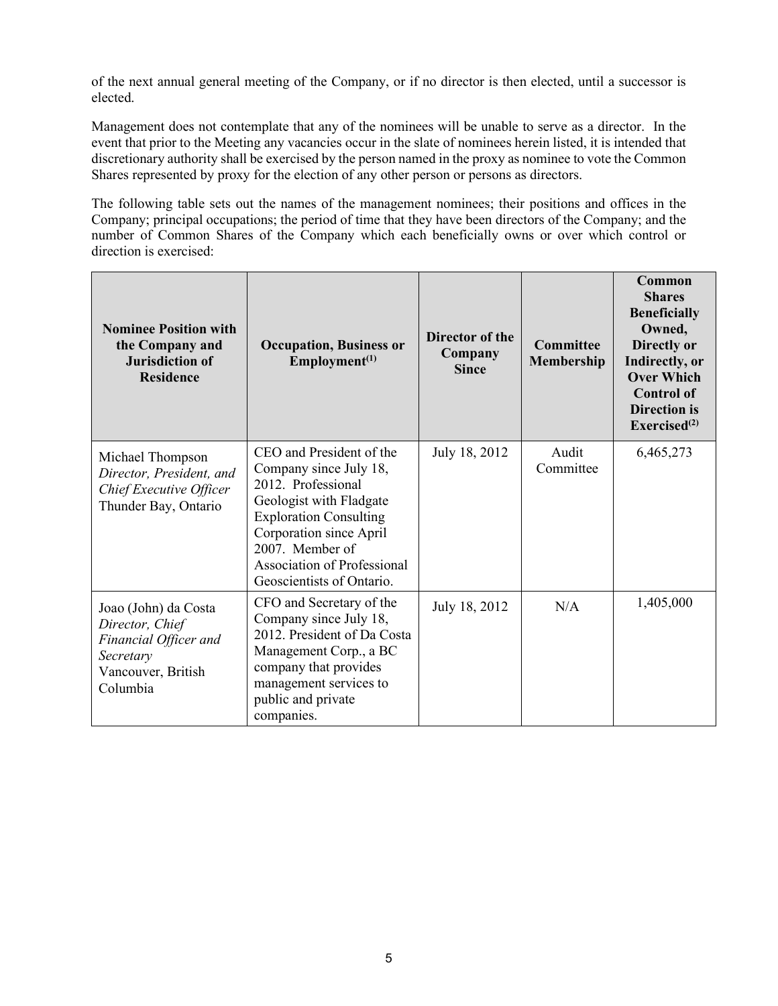of the next annual general meeting of the Company, or if no director is then elected, until a successor is elected.

Management does not contemplate that any of the nominees will be unable to serve as a director. In the event that prior to the Meeting any vacancies occur in the slate of nominees herein listed, it is intended that discretionary authority shall be exercised by the person named in the proxy as nominee to vote the Common Shares represented by proxy for the election of any other person or persons as directors.

The following table sets out the names of the management nominees; their positions and offices in the Company; principal occupations; the period of time that they have been directors of the Company; and the number of Common Shares of the Company which each beneficially owns or over which control or direction is exercised:

| <b>Nominee Position with</b><br>the Company and<br><b>Jurisdiction of</b><br><b>Residence</b>                   | <b>Occupation, Business or</b><br>$Employment^{(1)}$                                                                                                                                                                                                  | Director of the<br>Company<br><b>Since</b> | <b>Committee</b><br>Membership | Common<br><b>Shares</b><br><b>Beneficially</b><br>Owned,<br>Directly or<br>Indirectly, or<br><b>Over Which</b><br><b>Control of</b><br><b>Direction</b> is<br>Exercised <sup>(2)</sup> |
|-----------------------------------------------------------------------------------------------------------------|-------------------------------------------------------------------------------------------------------------------------------------------------------------------------------------------------------------------------------------------------------|--------------------------------------------|--------------------------------|----------------------------------------------------------------------------------------------------------------------------------------------------------------------------------------|
| Michael Thompson<br>Director, President, and<br>Chief Executive Officer<br>Thunder Bay, Ontario                 | CEO and President of the<br>Company since July 18,<br>2012. Professional<br>Geologist with Fladgate<br><b>Exploration Consulting</b><br>Corporation since April<br>2007. Member of<br><b>Association of Professional</b><br>Geoscientists of Ontario. | July 18, 2012                              | Audit<br>Committee             | 6,465,273                                                                                                                                                                              |
| Joao (John) da Costa<br>Director, Chief<br>Financial Officer and<br>Secretary<br>Vancouver, British<br>Columbia | CFO and Secretary of the<br>Company since July 18,<br>2012. President of Da Costa<br>Management Corp., a BC<br>company that provides<br>management services to<br>public and private<br>companies.                                                    | July 18, 2012                              | N/A                            | 1,405,000                                                                                                                                                                              |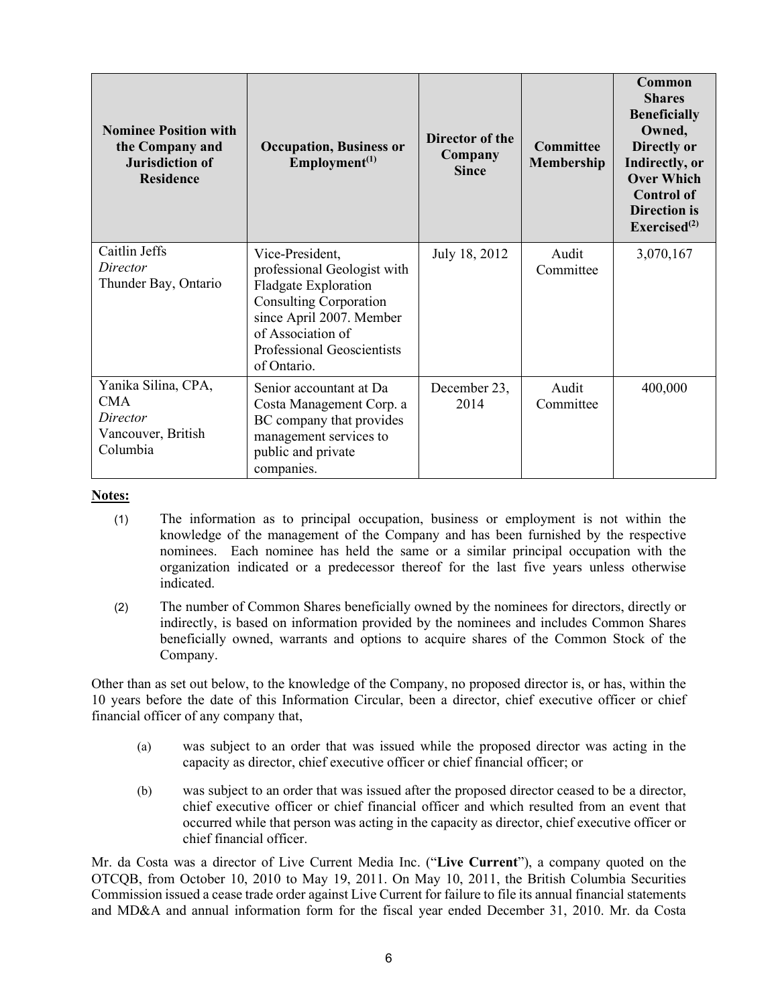| <b>Nominee Position with</b><br>the Company and<br><b>Jurisdiction of</b><br><b>Residence</b> | <b>Occupation, Business or</b><br>$Employment^{(1)}$                                                                                                                                                  | Director of the<br>Company<br><b>Since</b> | <b>Committee</b><br><b>Membership</b> | Common<br><b>Shares</b><br><b>Beneficially</b><br>Owned,<br>Directly or<br>Indirectly, or<br><b>Over Which</b><br><b>Control of</b><br><b>Direction</b> is<br>Exercised <sup>(2)</sup> |
|-----------------------------------------------------------------------------------------------|-------------------------------------------------------------------------------------------------------------------------------------------------------------------------------------------------------|--------------------------------------------|---------------------------------------|----------------------------------------------------------------------------------------------------------------------------------------------------------------------------------------|
| Caitlin Jeffs<br>Director<br>Thunder Bay, Ontario                                             | Vice-President,<br>professional Geologist with<br>Fladgate Exploration<br><b>Consulting Corporation</b><br>since April 2007. Member<br>of Association of<br>Professional Geoscientists<br>of Ontario. | July 18, 2012                              | Audit<br>Committee                    | 3,070,167                                                                                                                                                                              |
| Yanika Silina, CPA,<br><b>CMA</b><br>Director<br>Vancouver, British<br>Columbia               | Senior accountant at Da<br>Costa Management Corp. a<br>BC company that provides<br>management services to<br>public and private<br>companies.                                                         | December 23,<br>2014                       | Audit<br>Committee                    | 400,000                                                                                                                                                                                |

### **Notes:**

- (1) The information as to principal occupation, business or employment is not within the knowledge of the management of the Company and has been furnished by the respective nominees. Each nominee has held the same or a similar principal occupation with the organization indicated or a predecessor thereof for the last five years unless otherwise indicated.
- (2) The number of Common Shares beneficially owned by the nominees for directors, directly or indirectly, is based on information provided by the nominees and includes Common Shares beneficially owned, warrants and options to acquire shares of the Common Stock of the Company.

Other than as set out below, to the knowledge of the Company, no proposed director is, or has, within the 10 years before the date of this Information Circular, been a director, chief executive officer or chief financial officer of any company that,

- (a) was subject to an order that was issued while the proposed director was acting in the capacity as director, chief executive officer or chief financial officer; or
- (b) was subject to an order that was issued after the proposed director ceased to be a director, chief executive officer or chief financial officer and which resulted from an event that occurred while that person was acting in the capacity as director, chief executive officer or chief financial officer.

Mr. da Costa was a director of Live Current Media Inc. ("**Live Current**"), a company quoted on the OTCQB, from October 10, 2010 to May 19, 2011. On May 10, 2011, the British Columbia Securities Commission issued a cease trade order against Live Current for failure to file its annual financial statements and MD&A and annual information form for the fiscal year ended December 31, 2010. Mr. da Costa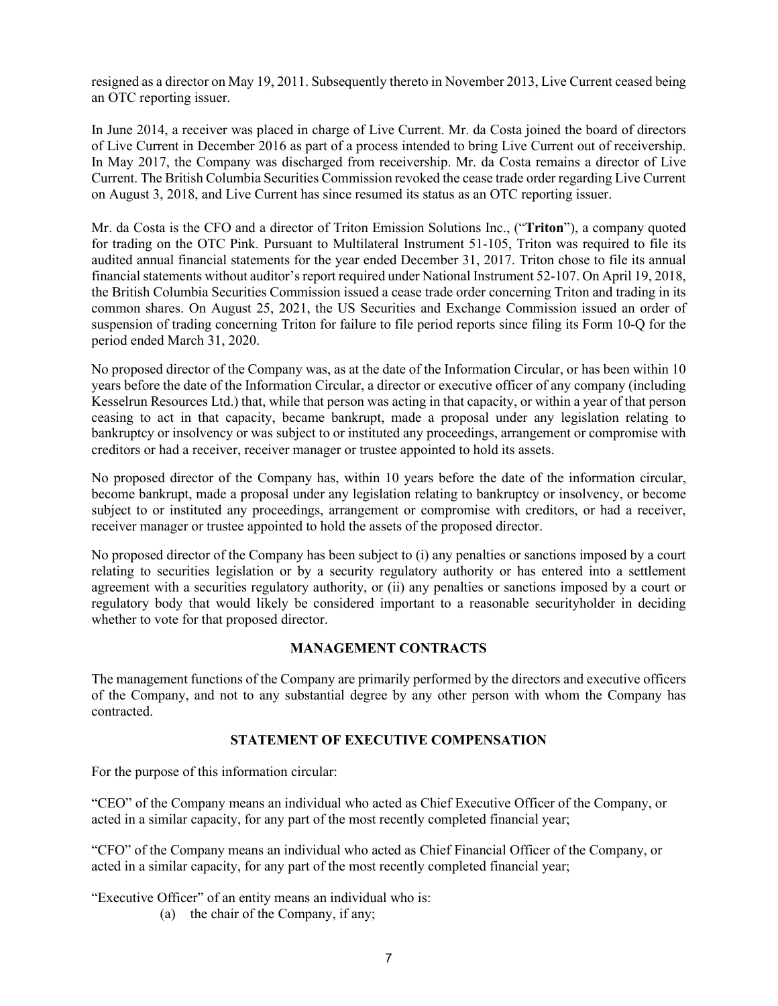resigned as a director on May 19, 2011. Subsequently thereto in November 2013, Live Current ceased being an OTC reporting issuer.

In June 2014, a receiver was placed in charge of Live Current. Mr. da Costa joined the board of directors of Live Current in December 2016 as part of a process intended to bring Live Current out of receivership. In May 2017, the Company was discharged from receivership. Mr. da Costa remains a director of Live Current. The British Columbia Securities Commission revoked the cease trade order regarding Live Current on August 3, 2018, and Live Current has since resumed its status as an OTC reporting issuer.

Mr. da Costa is the CFO and a director of Triton Emission Solutions Inc., ("**Triton**"), a company quoted for trading on the OTC Pink. Pursuant to Multilateral Instrument 51-105, Triton was required to file its audited annual financial statements for the year ended December 31, 2017. Triton chose to file its annual financial statements without auditor's report required under National Instrument 52-107. On April 19, 2018, the British Columbia Securities Commission issued a cease trade order concerning Triton and trading in its common shares. On August 25, 2021, the US Securities and Exchange Commission issued an order of suspension of trading concerning Triton for failure to file period reports since filing its Form 10-Q for the period ended March 31, 2020.

No proposed director of the Company was, as at the date of the Information Circular, or has been within 10 years before the date of the Information Circular, a director or executive officer of any company (including Kesselrun Resources Ltd.) that, while that person was acting in that capacity, or within a year of that person ceasing to act in that capacity, became bankrupt, made a proposal under any legislation relating to bankruptcy or insolvency or was subject to or instituted any proceedings, arrangement or compromise with creditors or had a receiver, receiver manager or trustee appointed to hold its assets.

No proposed director of the Company has, within 10 years before the date of the information circular, become bankrupt, made a proposal under any legislation relating to bankruptcy or insolvency, or become subject to or instituted any proceedings, arrangement or compromise with creditors, or had a receiver, receiver manager or trustee appointed to hold the assets of the proposed director.

No proposed director of the Company has been subject to (i) any penalties or sanctions imposed by a court relating to securities legislation or by a security regulatory authority or has entered into a settlement agreement with a securities regulatory authority, or (ii) any penalties or sanctions imposed by a court or regulatory body that would likely be considered important to a reasonable securityholder in deciding whether to vote for that proposed director.

## **MANAGEMENT CONTRACTS**

The management functions of the Company are primarily performed by the directors and executive officers of the Company, and not to any substantial degree by any other person with whom the Company has contracted.

# **STATEMENT OF EXECUTIVE COMPENSATION**

For the purpose of this information circular:

"CEO" of the Company means an individual who acted as Chief Executive Officer of the Company, or acted in a similar capacity, for any part of the most recently completed financial year;

"CFO" of the Company means an individual who acted as Chief Financial Officer of the Company, or acted in a similar capacity, for any part of the most recently completed financial year;

"Executive Officer" of an entity means an individual who is:

(a) the chair of the Company, if any;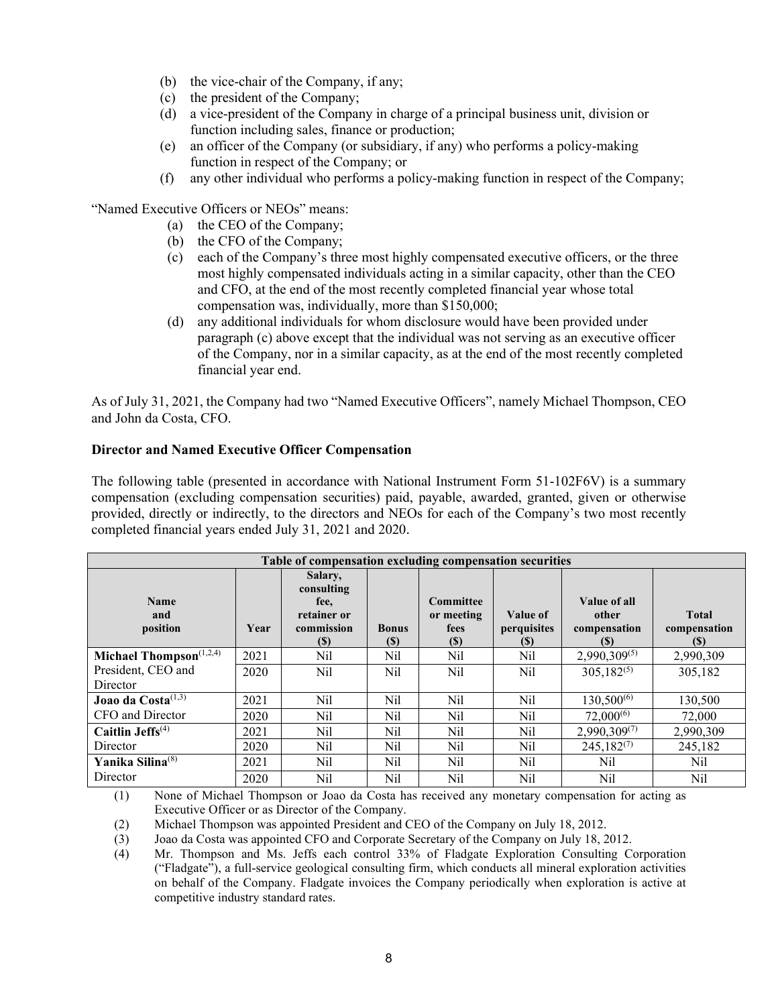- (b) the vice-chair of the Company, if any;
- (c) the president of the Company;
- (d) a vice-president of the Company in charge of a principal business unit, division or function including sales, finance or production;
- (e) an officer of the Company (or subsidiary, if any) who performs a policy-making function in respect of the Company; or
- (f) any other individual who performs a policy-making function in respect of the Company;

"Named Executive Officers or NEOs" means:

- (a) the CEO of the Company;
- (b) the CFO of the Company;
- (c) each of the Company's three most highly compensated executive officers, or the three most highly compensated individuals acting in a similar capacity, other than the CEO and CFO, at the end of the most recently completed financial year whose total compensation was, individually, more than \$150,000;
- (d) any additional individuals for whom disclosure would have been provided under paragraph (c) above except that the individual was not serving as an executive officer of the Company, nor in a similar capacity, as at the end of the most recently completed financial year end.

As of July 31, 2021, the Company had two "Named Executive Officers", namely Michael Thompson, CEO and John da Costa, CFO.

# **Director and Named Executive Officer Compensation**

The following table (presented in accordance with National Instrument Form 51-102F6V) is a summary compensation (excluding compensation securities) paid, payable, awarded, granted, given or otherwise provided, directly or indirectly, to the directors and NEOs for each of the Company's two most recently completed financial years ended July 31, 2021 and 2020.

| Table of compensation excluding compensation securities |      |                                                                          |                             |                                               |                                |                                              |                                     |
|---------------------------------------------------------|------|--------------------------------------------------------------------------|-----------------------------|-----------------------------------------------|--------------------------------|----------------------------------------------|-------------------------------------|
| <b>Name</b><br>and<br>position                          | Year | Salary,<br>consulting<br>fee,<br>retainer or<br>commission<br><b>(S)</b> | <b>Bonus</b><br><b>(\$)</b> | <b>Committee</b><br>or meeting<br>fees<br>(S) | Value of<br>perquisites<br>(S) | Value of all<br>other<br>compensation<br>(S) | <b>Total</b><br>compensation<br>(S) |
| Michael Thompson <sup>(1,2,4)</sup>                     | 2021 | Nil                                                                      | Nil                         | Nil                                           | Nil                            | $2,990,309^{(5)}$                            | 2,990,309                           |
| President, CEO and                                      | 2020 | Nil                                                                      | Nil                         | Nil                                           | Nil                            | $305.182^{(5)}$                              | 305,182                             |
| Director                                                |      |                                                                          |                             |                                               |                                |                                              |                                     |
| Joao da Costa <sup>(1,3)</sup>                          | 2021 | Nil                                                                      | Nil                         | Nil                                           | Nil                            | $130,500^{(6)}$                              | 130,500                             |
| CFO and Director                                        | 2020 | Nil                                                                      | Nil                         | Nil                                           | Nil                            | $72,000^{(6)}$                               | 72,000                              |
| Caitlin Jeffs $(4)$                                     | 2021 | Nil                                                                      | Nil                         | Nil                                           | Nil                            | $2,990,309^{(7)}$                            | 2,990,309                           |
| Director                                                | 2020 | Nil                                                                      | Nil                         | Nil                                           | Nil                            | $245,182^{(7)}$                              | 245,182                             |
| Yanika Silina <sup>(8)</sup>                            | 2021 | Nil                                                                      | Nil                         | Nil                                           | Nil                            | Nil                                          | Nil                                 |
| Director                                                | 2020 | Nil                                                                      | Nil                         | Nil                                           | Nil                            | Nil                                          | Nil                                 |

(1) None of Michael Thompson or Joao da Costa has received any monetary compensation for acting as Executive Officer or as Director of the Company.

(2) Michael Thompson was appointed President and CEO of the Company on July 18, 2012.

(3) Joao da Costa was appointed CFO and Corporate Secretary of the Company on July 18, 2012.

(4) Mr. Thompson and Ms. Jeffs each control 33% of Fladgate Exploration Consulting Corporation ("Fladgate"), a full-service geological consulting firm, which conducts all mineral exploration activities on behalf of the Company. Fladgate invoices the Company periodically when exploration is active at competitive industry standard rates.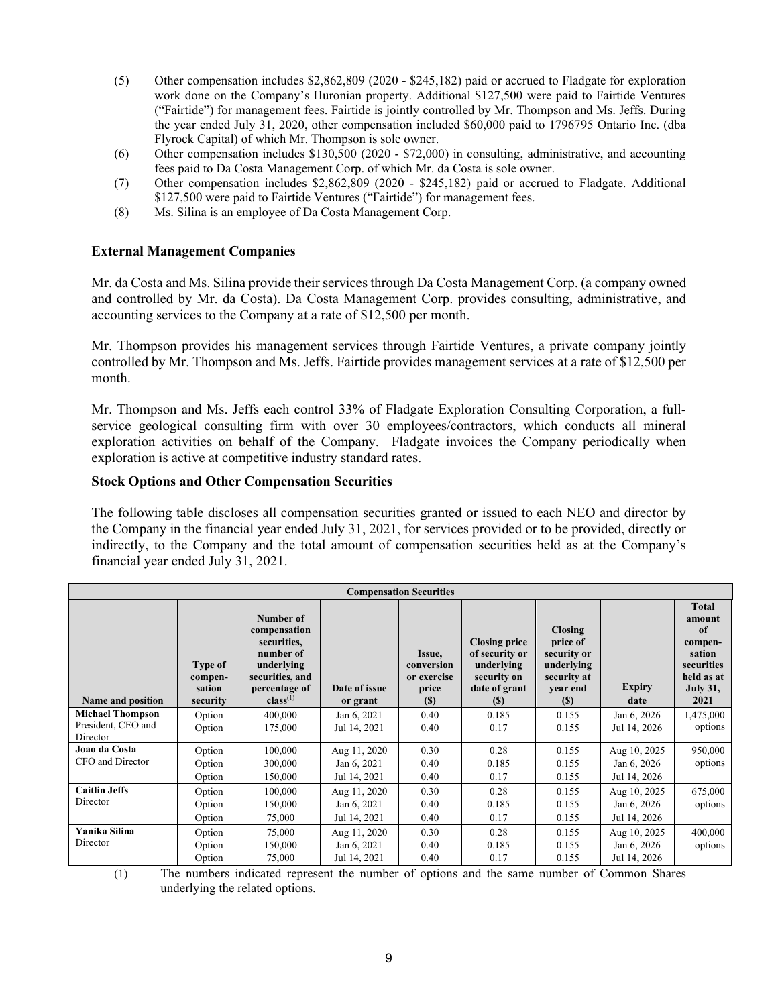- (5) Other compensation includes \$2,862,809 (2020 \$245,182) paid or accrued to Fladgate for exploration work done on the Company's Huronian property. Additional \$127,500 were paid to Fairtide Ventures ("Fairtide") for management fees. Fairtide is jointly controlled by Mr. Thompson and Ms. Jeffs. During the year ended July 31, 2020, other compensation included \$60,000 paid to 1796795 Ontario Inc. (dba Flyrock Capital) of which Mr. Thompson is sole owner.
- (6) Other compensation includes \$130,500 (2020 \$72,000) in consulting, administrative, and accounting fees paid to Da Costa Management Corp. of which Mr. da Costa is sole owner.
- (7) Other compensation includes \$2,862,809 (2020 \$245,182) paid or accrued to Fladgate. Additional \$127,500 were paid to Fairtide Ventures ("Fairtide") for management fees.
- (8) Ms. Silina is an employee of Da Costa Management Corp.

# **External Management Companies**

Mr. da Costa and Ms. Silina provide their services through Da Costa Management Corp. (a company owned and controlled by Mr. da Costa). Da Costa Management Corp. provides consulting, administrative, and accounting services to the Company at a rate of \$12,500 per month.

Mr. Thompson provides his management services through Fairtide Ventures, a private company jointly controlled by Mr. Thompson and Ms. Jeffs. Fairtide provides management services at a rate of \$12,500 per month.

Mr. Thompson and Ms. Jeffs each control 33% of Fladgate Exploration Consulting Corporation, a fullservice geological consulting firm with over 30 employees/contractors, which conducts all mineral exploration activities on behalf of the Company. Fladgate invoices the Company periodically when exploration is active at competitive industry standard rates.

## **Stock Options and Other Compensation Securities**

The following table discloses all compensation securities granted or issued to each NEO and director by the Company in the financial year ended July 31, 2021, for services provided or to be provided, directly or indirectly, to the Company and the total amount of compensation securities held as at the Company's financial year ended July 31, 2021.

| <b>Compensation Securities</b> |                                          |                                                                                                                          |                           |                                                            |                                                                                             |                                                                                    |                       |                                                                                                   |
|--------------------------------|------------------------------------------|--------------------------------------------------------------------------------------------------------------------------|---------------------------|------------------------------------------------------------|---------------------------------------------------------------------------------------------|------------------------------------------------------------------------------------|-----------------------|---------------------------------------------------------------------------------------------------|
| Name and position              | Type of<br>compen-<br>sation<br>security | Number of<br>compensation<br>securities,<br>number of<br>underlying<br>securities, and<br>percentage of<br>$class^{(1)}$ | Date of issue<br>or grant | Issue,<br>conversion<br>or exercise<br>price<br><b>(S)</b> | <b>Closing price</b><br>of security or<br>underlying<br>security on<br>date of grant<br>(S) | Closing<br>price of<br>security or<br>underlying<br>security at<br>year end<br>(S) | <b>Expiry</b><br>date | Total<br>amount<br>of<br>compen-<br>sation<br>securities<br>held as at<br><b>July 31,</b><br>2021 |
| <b>Michael Thompson</b>        | Option                                   | 400,000                                                                                                                  | Jan 6, 2021               | 0.40                                                       | 0.185                                                                                       | 0.155                                                                              | Jan 6, 2026           | 1,475,000                                                                                         |
| President, CEO and<br>Director | Option                                   | 175,000                                                                                                                  | Jul 14, 2021              | 0.40                                                       | 0.17                                                                                        | 0.155                                                                              | Jul 14, 2026          | options                                                                                           |
| Joao da Costa                  | Option                                   | 100,000                                                                                                                  | Aug 11, 2020              | 0.30                                                       | 0.28                                                                                        | 0.155                                                                              | Aug 10, 2025          | 950,000                                                                                           |
| CFO and Director               | Option                                   | 300,000                                                                                                                  | Jan 6, 2021               | 0.40                                                       | 0.185                                                                                       | 0.155                                                                              | Jan 6, 2026           | options                                                                                           |
|                                | Option                                   | 150,000                                                                                                                  | Jul 14, 2021              | 0.40                                                       | 0.17                                                                                        | 0.155                                                                              | Jul 14, 2026          |                                                                                                   |
| <b>Caitlin Jeffs</b>           | Option                                   | 100,000                                                                                                                  | Aug 11, 2020              | 0.30                                                       | 0.28                                                                                        | 0.155                                                                              | Aug 10, 2025          | 675,000                                                                                           |
| Director                       | Option                                   | 150,000                                                                                                                  | Jan 6, 2021               | 0.40                                                       | 0.185                                                                                       | 0.155                                                                              | Jan 6, 2026           | options                                                                                           |
|                                | Option                                   | 75,000                                                                                                                   | Jul 14, 2021              | 0.40                                                       | 0.17                                                                                        | 0.155                                                                              | Jul 14, 2026          |                                                                                                   |
| Yanika Silina                  | Option                                   | 75,000                                                                                                                   | Aug 11, 2020              | 0.30                                                       | 0.28                                                                                        | 0.155                                                                              | Aug 10, 2025          | 400,000                                                                                           |
| Director                       | Option                                   | 150,000                                                                                                                  | Jan 6, 2021               | 0.40                                                       | 0.185                                                                                       | 0.155                                                                              | Jan 6, 2026           | options                                                                                           |
|                                | Option                                   | 75,000                                                                                                                   | Jul 14, 2021              | 0.40                                                       | 0.17                                                                                        | 0.155                                                                              | Jul 14, 2026          |                                                                                                   |

(1) The numbers indicated represent the number of options and the same number of Common Shares underlying the related options.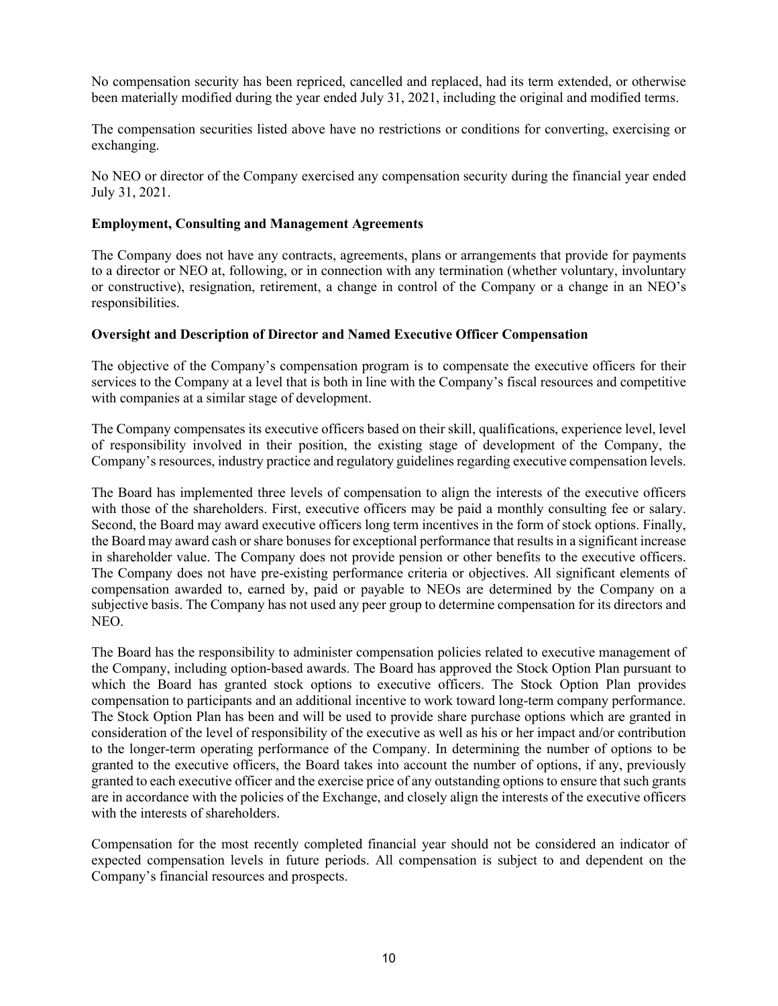No compensation security has been repriced, cancelled and replaced, had its term extended, or otherwise been materially modified during the year ended July 31, 2021, including the original and modified terms.

The compensation securities listed above have no restrictions or conditions for converting, exercising or exchanging.

No NEO or director of the Company exercised any compensation security during the financial year ended July 31, 2021.

## **Employment, Consulting and Management Agreements**

The Company does not have any contracts, agreements, plans or arrangements that provide for payments to a director or NEO at, following, or in connection with any termination (whether voluntary, involuntary or constructive), resignation, retirement, a change in control of the Company or a change in an NEO's responsibilities.

## **Oversight and Description of Director and Named Executive Officer Compensation**

The objective of the Company's compensation program is to compensate the executive officers for their services to the Company at a level that is both in line with the Company's fiscal resources and competitive with companies at a similar stage of development.

The Company compensates its executive officers based on their skill, qualifications, experience level, level of responsibility involved in their position, the existing stage of development of the Company, the Company's resources, industry practice and regulatory guidelines regarding executive compensation levels.

The Board has implemented three levels of compensation to align the interests of the executive officers with those of the shareholders. First, executive officers may be paid a monthly consulting fee or salary. Second, the Board may award executive officers long term incentives in the form of stock options. Finally, the Board may award cash or share bonuses for exceptional performance that results in a significant increase in shareholder value. The Company does not provide pension or other benefits to the executive officers. The Company does not have pre-existing performance criteria or objectives. All significant elements of compensation awarded to, earned by, paid or payable to NEOs are determined by the Company on a subjective basis. The Company has not used any peer group to determine compensation for its directors and NEO.

The Board has the responsibility to administer compensation policies related to executive management of the Company, including option-based awards. The Board has approved the Stock Option Plan pursuant to which the Board has granted stock options to executive officers. The Stock Option Plan provides compensation to participants and an additional incentive to work toward long-term company performance. The Stock Option Plan has been and will be used to provide share purchase options which are granted in consideration of the level of responsibility of the executive as well as his or her impact and/or contribution to the longer-term operating performance of the Company. In determining the number of options to be granted to the executive officers, the Board takes into account the number of options, if any, previously granted to each executive officer and the exercise price of any outstanding options to ensure that such grants are in accordance with the policies of the Exchange, and closely align the interests of the executive officers with the interests of shareholders.

Compensation for the most recently completed financial year should not be considered an indicator of expected compensation levels in future periods. All compensation is subject to and dependent on the Company's financial resources and prospects.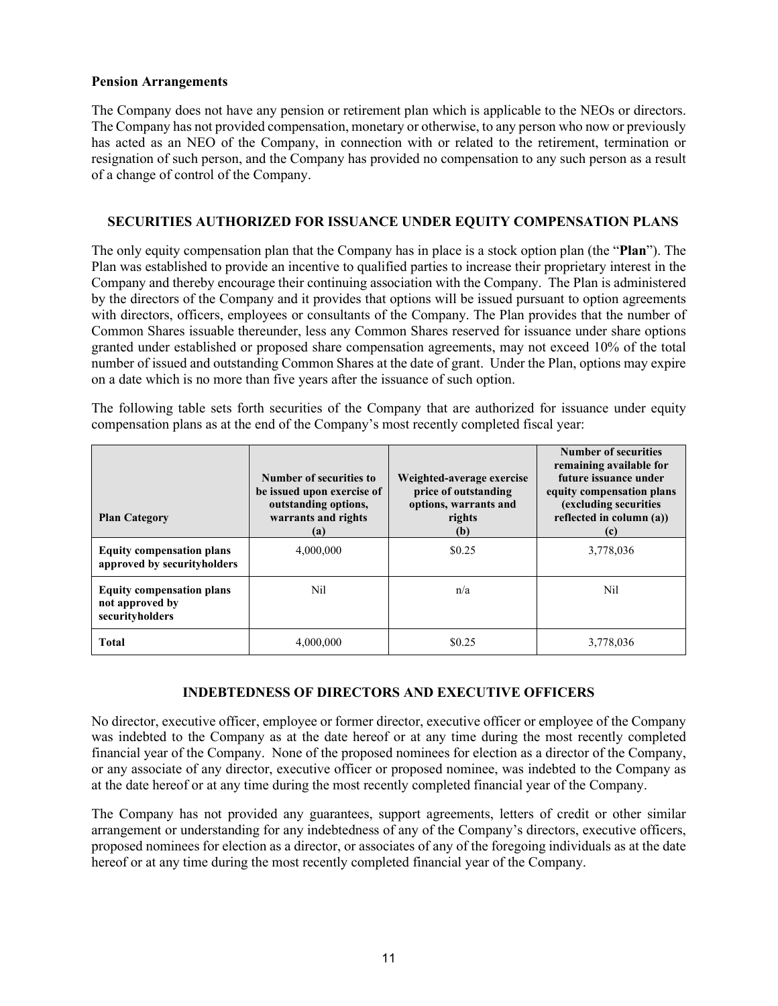#### **Pension Arrangements**

The Company does not have any pension or retirement plan which is applicable to the NEOs or directors. The Company has not provided compensation, monetary or otherwise, to any person who now or previously has acted as an NEO of the Company, in connection with or related to the retirement, termination or resignation of such person, and the Company has provided no compensation to any such person as a result of a change of control of the Company.

## **SECURITIES AUTHORIZED FOR ISSUANCE UNDER EQUITY COMPENSATION PLANS**

The only equity compensation plan that the Company has in place is a stock option plan (the "**Plan**"). The Plan was established to provide an incentive to qualified parties to increase their proprietary interest in the Company and thereby encourage their continuing association with the Company. The Plan is administered by the directors of the Company and it provides that options will be issued pursuant to option agreements with directors, officers, employees or consultants of the Company. The Plan provides that the number of Common Shares issuable thereunder, less any Common Shares reserved for issuance under share options granted under established or proposed share compensation agreements, may not exceed 10% of the total number of issued and outstanding Common Shares at the date of grant. Under the Plan, options may expire on a date which is no more than five years after the issuance of such option.

The following table sets forth securities of the Company that are authorized for issuance under equity compensation plans as at the end of the Company's most recently completed fiscal year:

| <b>Plan Category</b>                                                   | Number of securities to<br>be issued upon exercise of<br>outstanding options,<br>warrants and rights<br>(a) | Weighted-average exercise<br>price of outstanding<br>options, warrants and<br>rights<br>(b) | <b>Number of securities</b><br>remaining available for<br>future issuance under<br>equity compensation plans<br>(excluding securities<br>reflected in column (a))<br>(c) |
|------------------------------------------------------------------------|-------------------------------------------------------------------------------------------------------------|---------------------------------------------------------------------------------------------|--------------------------------------------------------------------------------------------------------------------------------------------------------------------------|
| <b>Equity compensation plans</b><br>approved by securityholders        | 4,000,000                                                                                                   | \$0.25                                                                                      | 3,778,036                                                                                                                                                                |
| <b>Equity compensation plans</b><br>not approved by<br>securityholders | Nil                                                                                                         | n/a                                                                                         | Nil                                                                                                                                                                      |
| <b>Total</b>                                                           | 4,000,000                                                                                                   | \$0.25                                                                                      | 3,778,036                                                                                                                                                                |

## **INDEBTEDNESS OF DIRECTORS AND EXECUTIVE OFFICERS**

No director, executive officer, employee or former director, executive officer or employee of the Company was indebted to the Company as at the date hereof or at any time during the most recently completed financial year of the Company. None of the proposed nominees for election as a director of the Company, or any associate of any director, executive officer or proposed nominee, was indebted to the Company as at the date hereof or at any time during the most recently completed financial year of the Company.

The Company has not provided any guarantees, support agreements, letters of credit or other similar arrangement or understanding for any indebtedness of any of the Company's directors, executive officers, proposed nominees for election as a director, or associates of any of the foregoing individuals as at the date hereof or at any time during the most recently completed financial year of the Company.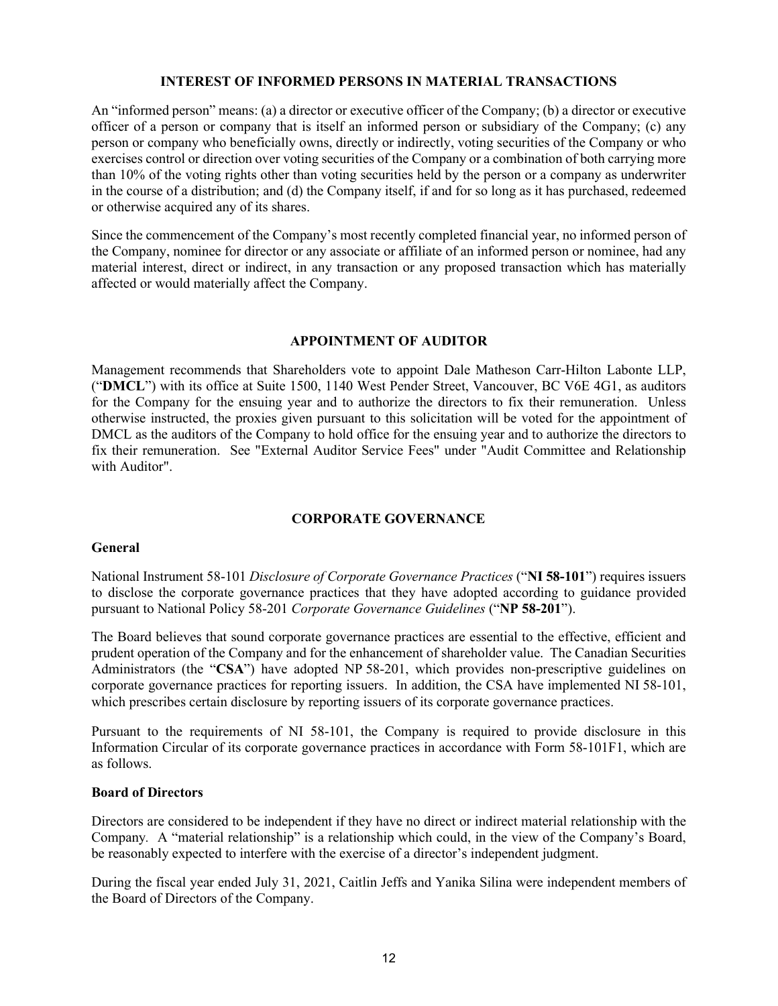#### **INTEREST OF INFORMED PERSONS IN MATERIAL TRANSACTIONS**

An "informed person" means: (a) a director or executive officer of the Company; (b) a director or executive officer of a person or company that is itself an informed person or subsidiary of the Company; (c) any person or company who beneficially owns, directly or indirectly, voting securities of the Company or who exercises control or direction over voting securities of the Company or a combination of both carrying more than 10% of the voting rights other than voting securities held by the person or a company as underwriter in the course of a distribution; and (d) the Company itself, if and for so long as it has purchased, redeemed or otherwise acquired any of its shares.

Since the commencement of the Company's most recently completed financial year, no informed person of the Company, nominee for director or any associate or affiliate of an informed person or nominee, had any material interest, direct or indirect, in any transaction or any proposed transaction which has materially affected or would materially affect the Company.

## **APPOINTMENT OF AUDITOR**

Management recommends that Shareholders vote to appoint Dale Matheson Carr-Hilton Labonte LLP, ("**DMCL**") with its office at Suite 1500, 1140 West Pender Street, Vancouver, BC V6E 4G1, as auditors for the Company for the ensuing year and to authorize the directors to fix their remuneration. Unless otherwise instructed, the proxies given pursuant to this solicitation will be voted for the appointment of DMCL as the auditors of the Company to hold office for the ensuing year and to authorize the directors to fix their remuneration. See "External Auditor Service Fees" under "Audit Committee and Relationship with Auditor".

## **CORPORATE GOVERNANCE**

## **General**

National Instrument 58-101 *Disclosure of Corporate Governance Practices* ("**NI 58-101**") requires issuers to disclose the corporate governance practices that they have adopted according to guidance provided pursuant to National Policy 58-201 *Corporate Governance Guidelines* ("**NP 58-201**").

The Board believes that sound corporate governance practices are essential to the effective, efficient and prudent operation of the Company and for the enhancement of shareholder value. The Canadian Securities Administrators (the "**CSA**") have adopted NP 58-201, which provides non-prescriptive guidelines on corporate governance practices for reporting issuers. In addition, the CSA have implemented NI 58-101, which prescribes certain disclosure by reporting issuers of its corporate governance practices.

Pursuant to the requirements of NI 58-101, the Company is required to provide disclosure in this Information Circular of its corporate governance practices in accordance with Form 58-101F1, which are as follows.

## **Board of Directors**

Directors are considered to be independent if they have no direct or indirect material relationship with the Company*.* A "material relationship" is a relationship which could, in the view of the Company's Board, be reasonably expected to interfere with the exercise of a director's independent judgment.

During the fiscal year ended July 31, 2021, Caitlin Jeffs and Yanika Silina were independent members of the Board of Directors of the Company.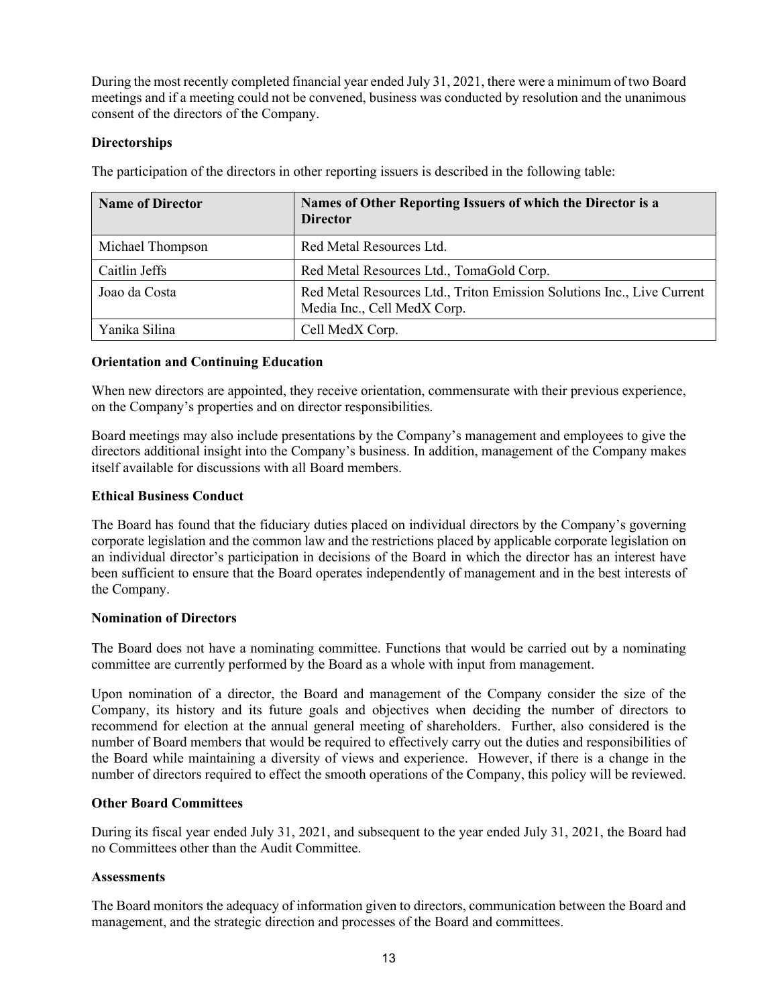During the most recently completed financial year ended July 31, 2021, there were a minimum of two Board meetings and if a meeting could not be convened, business was conducted by resolution and the unanimous consent of the directors of the Company.

# **Directorships**

| <b>Name of Director</b> | Names of Other Reporting Issuers of which the Director is a<br><b>Director</b>                        |
|-------------------------|-------------------------------------------------------------------------------------------------------|
| Michael Thompson        | Red Metal Resources Ltd.                                                                              |
| Caitlin Jeffs           | Red Metal Resources Ltd., TomaGold Corp.                                                              |
| Joao da Costa           | Red Metal Resources Ltd., Triton Emission Solutions Inc., Live Current<br>Media Inc., Cell MedX Corp. |
| Yanika Silina           | Cell MedX Corp.                                                                                       |

The participation of the directors in other reporting issuers is described in the following table:

## **Orientation and Continuing Education**

When new directors are appointed, they receive orientation, commensurate with their previous experience, on the Company's properties and on director responsibilities.

Board meetings may also include presentations by the Company's management and employees to give the directors additional insight into the Company's business. In addition, management of the Company makes itself available for discussions with all Board members.

## **Ethical Business Conduct**

The Board has found that the fiduciary duties placed on individual directors by the Company's governing corporate legislation and the common law and the restrictions placed by applicable corporate legislation on an individual director's participation in decisions of the Board in which the director has an interest have been sufficient to ensure that the Board operates independently of management and in the best interests of the Company.

## **Nomination of Directors**

The Board does not have a nominating committee. Functions that would be carried out by a nominating committee are currently performed by the Board as a whole with input from management.

Upon nomination of a director, the Board and management of the Company consider the size of the Company, its history and its future goals and objectives when deciding the number of directors to recommend for election at the annual general meeting of shareholders. Further, also considered is the number of Board members that would be required to effectively carry out the duties and responsibilities of the Board while maintaining a diversity of views and experience. However, if there is a change in the number of directors required to effect the smooth operations of the Company, this policy will be reviewed.

## **Other Board Committees**

During its fiscal year ended July 31, 2021, and subsequent to the year ended July 31, 2021, the Board had no Committees other than the Audit Committee.

## **Assessments**

The Board monitors the adequacy of information given to directors, communication between the Board and management, and the strategic direction and processes of the Board and committees.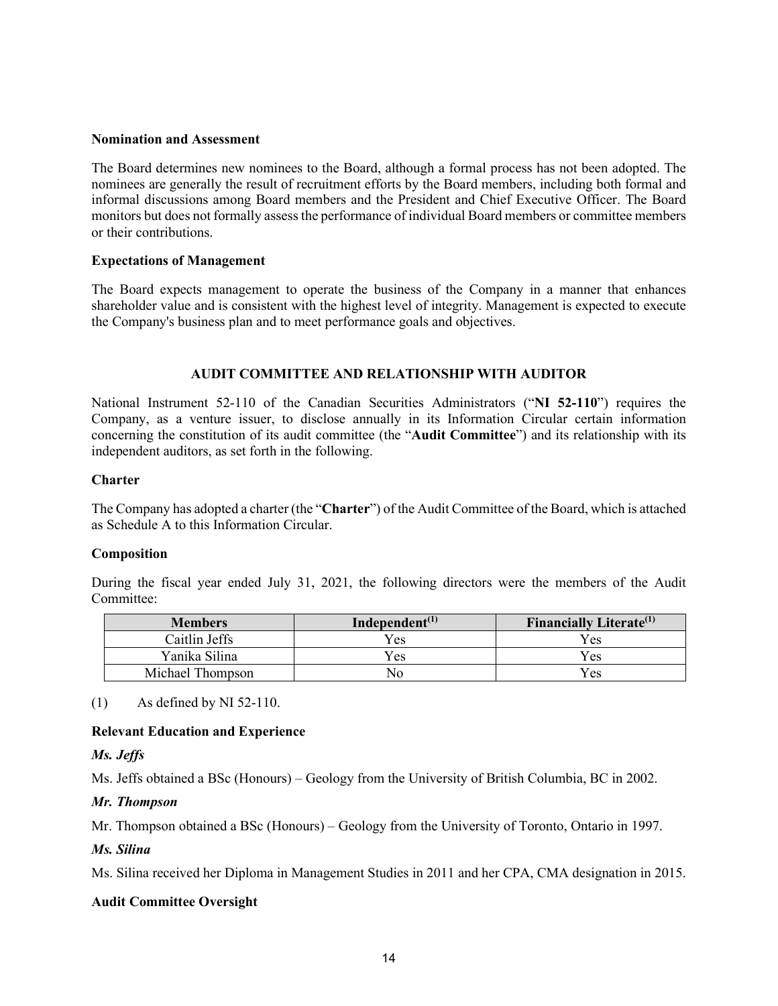### **Nomination and Assessment**

The Board determines new nominees to the Board, although a formal process has not been adopted. The nominees are generally the result of recruitment efforts by the Board members, including both formal and informal discussions among Board members and the President and Chief Executive Officer. The Board monitors but does not formally assess the performance of individual Board members or committee members or their contributions.

## **Expectations of Management**

The Board expects management to operate the business of the Company in a manner that enhances shareholder value and is consistent with the highest level of integrity. Management is expected to execute the Company's business plan and to meet performance goals and objectives.

## **AUDIT COMMITTEE AND RELATIONSHIP WITH AUDITOR**

National Instrument 52-110 of the Canadian Securities Administrators ("**NI 52-110**") requires the Company, as a venture issuer, to disclose annually in its Information Circular certain information concerning the constitution of its audit committee (the "**Audit Committee**") and its relationship with its independent auditors, as set forth in the following.

#### **Charter**

The Company has adopted a charter (the "**Charter**") of the Audit Committee of the Board, which is attached as Schedule A to this Information Circular.

#### **Composition**

During the fiscal year ended July 31, 2021, the following directors were the members of the Audit Committee:

| <b>Members</b>   | Independent $(1)$ | Financially Literate $(1)$ |
|------------------|-------------------|----------------------------|
| Caitlin Jeffs    | Yes               | Yes                        |
| Yanika Silina    | Yes               | Yes                        |
| Michael Thompson | No.               | Yes                        |

(1) As defined by NI 52-110.

## **Relevant Education and Experience**

## *Ms. Jeffs*

Ms. Jeffs obtained a BSc (Honours) – Geology from the University of British Columbia, BC in 2002.

#### *Mr. Thompson*

Mr. Thompson obtained a BSc (Honours) – Geology from the University of Toronto, Ontario in 1997.

#### *Ms. Silina*

Ms. Silina received her Diploma in Management Studies in 2011 and her CPA, CMA designation in 2015.

## **Audit Committee Oversight**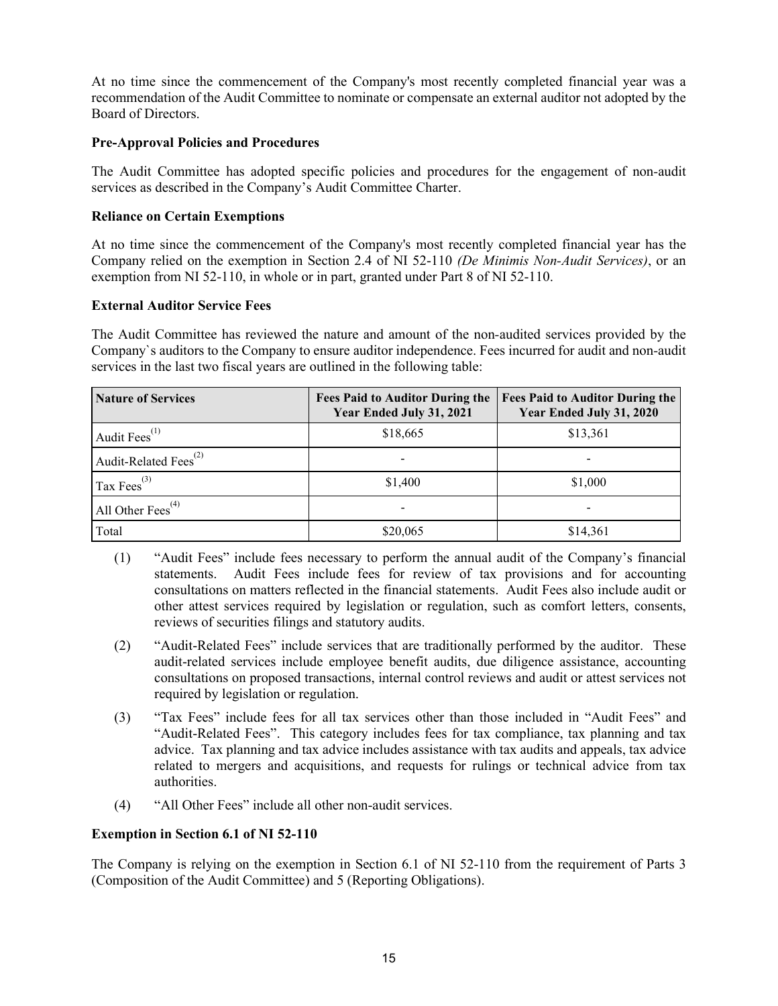At no time since the commencement of the Company's most recently completed financial year was a recommendation of the Audit Committee to nominate or compensate an external auditor not adopted by the Board of Directors.

# **Pre-Approval Policies and Procedures**

The Audit Committee has adopted specific policies and procedures for the engagement of non*-*audit services as described in the Company's Audit Committee Charter.

# **Reliance on Certain Exemptions**

At no time since the commencement of the Company's most recently completed financial year has the Company relied on the exemption in Section 2.4 of NI 52-110 *(De Minimis Non-Audit Services)*, or an exemption from NI 52-110, in whole or in part, granted under Part 8 of NI 52-110.

## **External Auditor Service Fees**

The Audit Committee has reviewed the nature and amount of the non*-*audited services provided by the Company`s auditors to the Company to ensure auditor independence. Fees incurred for audit and non*-*audit services in the last two fiscal years are outlined in the following table:

| <b>Nature of Services</b>                      | <b>Fees Paid to Auditor During the</b><br>Year Ended July 31, 2021 | <b>Fees Paid to Auditor During the</b><br>Year Ended July 31, 2020 |
|------------------------------------------------|--------------------------------------------------------------------|--------------------------------------------------------------------|
| Audit Fees $^{(1)}$                            | \$18,665                                                           | \$13,361                                                           |
| Audit-Related Fees <sup><math>(2)</math></sup> |                                                                    |                                                                    |
| Tax $Fees^{(3)}$                               | \$1,400                                                            | \$1,000                                                            |
| All Other Fees <sup>(4)</sup>                  |                                                                    |                                                                    |
| Total                                          | \$20,065                                                           | \$14,361                                                           |

- (1) "Audit Fees" include fees necessary to perform the annual audit of the Company's financial statements. Audit Fees include fees for review of tax provisions and for accounting consultations on matters reflected in the financial statements. Audit Fees also include audit or other attest services required by legislation or regulation, such as comfort letters, consents, reviews of securities filings and statutory audits.
- (2) "Audit-Related Fees" include services that are traditionally performed by the auditor. These audit-related services include employee benefit audits, due diligence assistance, accounting consultations on proposed transactions, internal control reviews and audit or attest services not required by legislation or regulation.
- (3) "Tax Fees" include fees for all tax services other than those included in "Audit Fees" and "Audit-Related Fees". This category includes fees for tax compliance, tax planning and tax advice. Tax planning and tax advice includes assistance with tax audits and appeals, tax advice related to mergers and acquisitions, and requests for rulings or technical advice from tax authorities.
- (4) "All Other Fees" include all other non-audit services.

# **Exemption in Section 6.1 of NI 52-110**

The Company is relying on the exemption in Section 6.1 of NI 52-110 from the requirement of Parts 3 (Composition of the Audit Committee) and 5 (Reporting Obligations).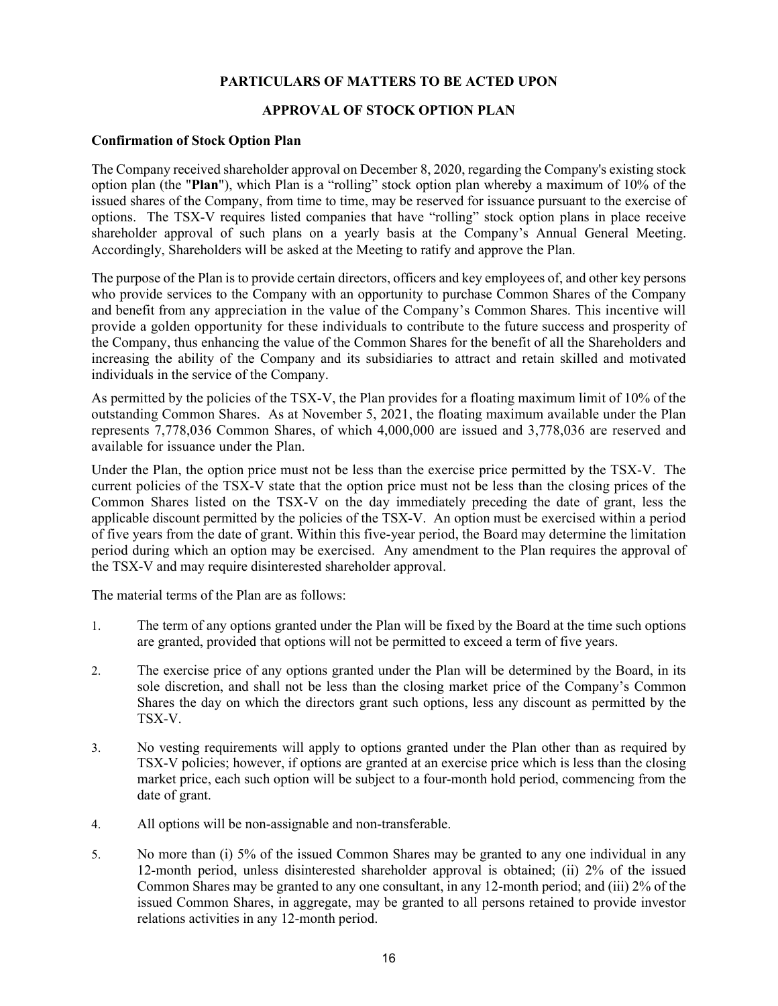## **PARTICULARS OF MATTERS TO BE ACTED UPON**

## **APPROVAL OF STOCK OPTION PLAN**

### **Confirmation of Stock Option Plan**

The Company received shareholder approval on December 8, 2020, regarding the Company's existing stock option plan (the "**Plan**"), which Plan is a "rolling" stock option plan whereby a maximum of 10% of the issued shares of the Company, from time to time, may be reserved for issuance pursuant to the exercise of options. The TSX-V requires listed companies that have "rolling" stock option plans in place receive shareholder approval of such plans on a yearly basis at the Company's Annual General Meeting. Accordingly, Shareholders will be asked at the Meeting to ratify and approve the Plan.

The purpose of the Plan is to provide certain directors, officers and key employees of, and other key persons who provide services to the Company with an opportunity to purchase Common Shares of the Company and benefit from any appreciation in the value of the Company's Common Shares. This incentive will provide a golden opportunity for these individuals to contribute to the future success and prosperity of the Company, thus enhancing the value of the Common Shares for the benefit of all the Shareholders and increasing the ability of the Company and its subsidiaries to attract and retain skilled and motivated individuals in the service of the Company.

As permitted by the policies of the TSX-V, the Plan provides for a floating maximum limit of 10% of the outstanding Common Shares. As at November 5, 2021, the floating maximum available under the Plan represents 7,778,036 Common Shares, of which 4,000,000 are issued and 3,778,036 are reserved and available for issuance under the Plan.

Under the Plan, the option price must not be less than the exercise price permitted by the TSX-V. The current policies of the TSX-V state that the option price must not be less than the closing prices of the Common Shares listed on the TSX-V on the day immediately preceding the date of grant, less the applicable discount permitted by the policies of the TSX-V. An option must be exercised within a period of five years from the date of grant. Within this five-year period, the Board may determine the limitation period during which an option may be exercised. Any amendment to the Plan requires the approval of the TSX-V and may require disinterested shareholder approval.

The material terms of the Plan are as follows:

- 1. The term of any options granted under the Plan will be fixed by the Board at the time such options are granted, provided that options will not be permitted to exceed a term of five years.
- 2. The exercise price of any options granted under the Plan will be determined by the Board, in its sole discretion, and shall not be less than the closing market price of the Company's Common Shares the day on which the directors grant such options, less any discount as permitted by the TSX-V.
- 3. No vesting requirements will apply to options granted under the Plan other than as required by TSX-V policies; however, if options are granted at an exercise price which is less than the closing market price, each such option will be subject to a four-month hold period, commencing from the date of grant.
- 4. All options will be non-assignable and non-transferable.
- 5. No more than (i) 5% of the issued Common Shares may be granted to any one individual in any 12-month period, unless disinterested shareholder approval is obtained; (ii) 2% of the issued Common Shares may be granted to any one consultant, in any 12-month period; and (iii) 2% of the issued Common Shares, in aggregate, may be granted to all persons retained to provide investor relations activities in any 12-month period.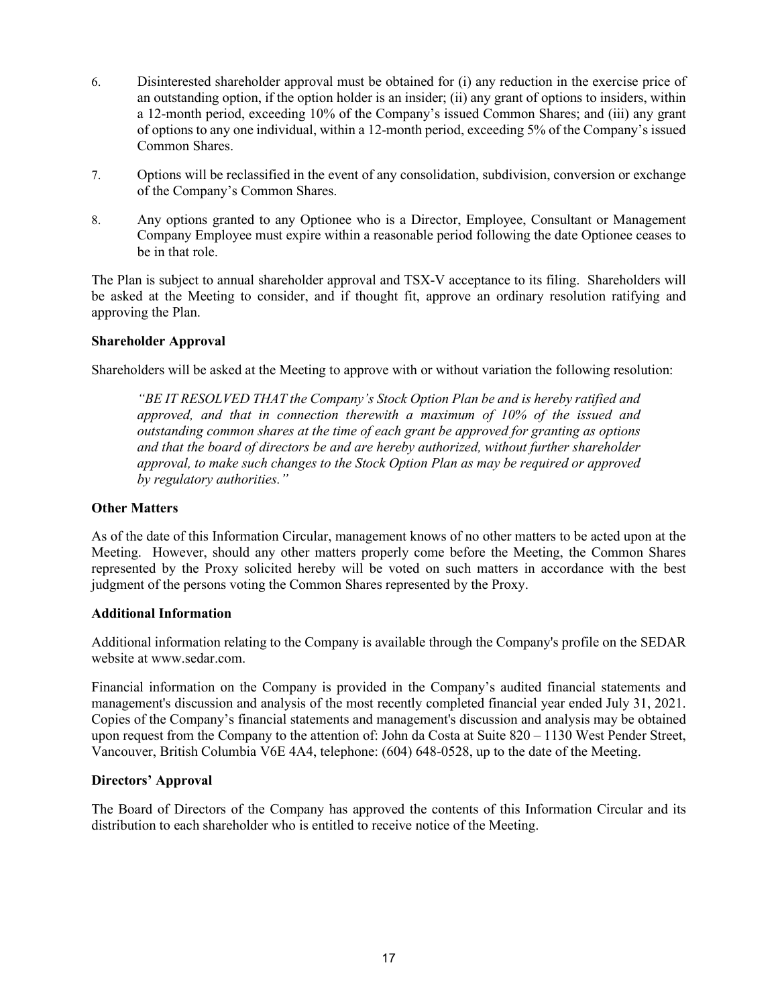- 6. Disinterested shareholder approval must be obtained for (i) any reduction in the exercise price of an outstanding option, if the option holder is an insider; (ii) any grant of options to insiders, within a 12-month period, exceeding 10% of the Company's issued Common Shares; and (iii) any grant of options to any one individual, within a 12-month period, exceeding 5% of the Company's issued Common Shares.
- 7. Options will be reclassified in the event of any consolidation, subdivision, conversion or exchange of the Company's Common Shares.
- 8. Any options granted to any Optionee who is a Director, Employee, Consultant or Management Company Employee must expire within a reasonable period following the date Optionee ceases to be in that role.

The Plan is subject to annual shareholder approval and TSX-V acceptance to its filing. Shareholders will be asked at the Meeting to consider, and if thought fit, approve an ordinary resolution ratifying and approving the Plan.

## **Shareholder Approval**

Shareholders will be asked at the Meeting to approve with or without variation the following resolution:

*"BE IT RESOLVED THAT the Company's Stock Option Plan be and is hereby ratified and approved, and that in connection therewith a maximum of 10% of the issued and outstanding common shares at the time of each grant be approved for granting as options and that the board of directors be and are hereby authorized, without further shareholder approval, to make such changes to the Stock Option Plan as may be required or approved by regulatory authorities."*

## **Other Matters**

As of the date of this Information Circular, management knows of no other matters to be acted upon at the Meeting. However, should any other matters properly come before the Meeting, the Common Shares represented by the Proxy solicited hereby will be voted on such matters in accordance with the best judgment of the persons voting the Common Shares represented by the Proxy.

## **Additional Information**

Additional information relating to the Company is available through the Company's profile on the SEDAR website at www.sedar.com.

Financial information on the Company is provided in the Company's audited financial statements and management's discussion and analysis of the most recently completed financial year ended July 31, 2021. Copies of the Company's financial statements and management's discussion and analysis may be obtained upon request from the Company to the attention of: John da Costa at Suite 820 – 1130 West Pender Street, Vancouver, British Columbia V6E 4A4, telephone: (604) 648-0528, up to the date of the Meeting.

## **Directors' Approval**

The Board of Directors of the Company has approved the contents of this Information Circular and its distribution to each shareholder who is entitled to receive notice of the Meeting.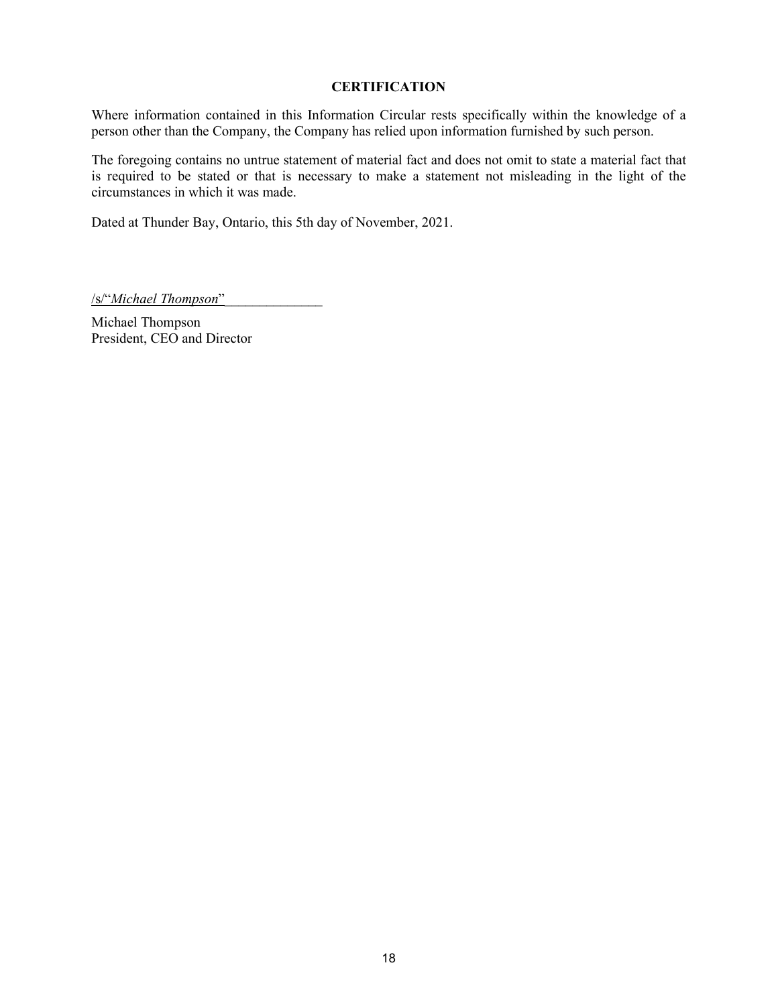## **CERTIFICATION**

Where information contained in this Information Circular rests specifically within the knowledge of a person other than the Company, the Company has relied upon information furnished by such person.

The foregoing contains no untrue statement of material fact and does not omit to state a material fact that is required to be stated or that is necessary to make a statement not misleading in the light of the circumstances in which it was made.

Dated at Thunder Bay, Ontario, this 5th day of November, 2021.

/s/"*Michael Thompson*"\_\_\_\_\_\_\_\_\_\_\_\_\_\_

Michael Thompson President, CEO and Director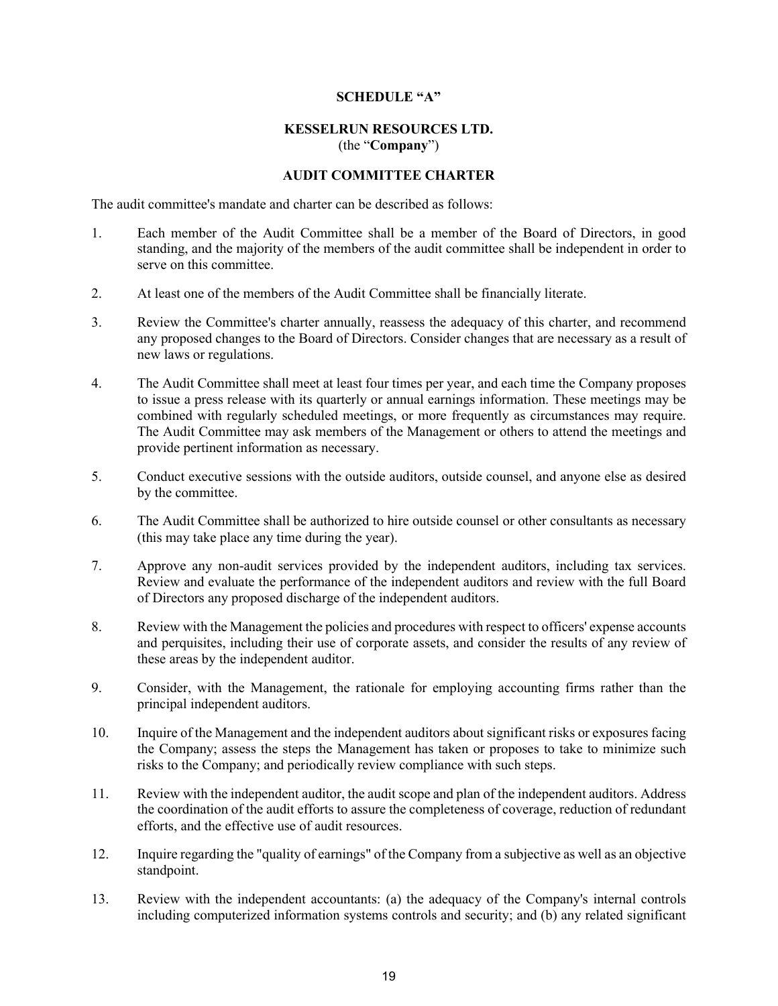#### **SCHEDULE "A"**

#### **KESSELRUN RESOURCES LTD.**  (the "**Company**")

### **AUDIT COMMITTEE CHARTER**

The audit committee's mandate and charter can be described as follows:

- 1. Each member of the Audit Committee shall be a member of the Board of Directors, in good standing, and the majority of the members of the audit committee shall be independent in order to serve on this committee.
- 2. At least one of the members of the Audit Committee shall be financially literate.
- 3. Review the Committee's charter annually, reassess the adequacy of this charter, and recommend any proposed changes to the Board of Directors. Consider changes that are necessary as a result of new laws or regulations.
- 4. The Audit Committee shall meet at least four times per year, and each time the Company proposes to issue a press release with its quarterly or annual earnings information. These meetings may be combined with regularly scheduled meetings, or more frequently as circumstances may require. The Audit Committee may ask members of the Management or others to attend the meetings and provide pertinent information as necessary.
- 5. Conduct executive sessions with the outside auditors, outside counsel, and anyone else as desired by the committee.
- 6. The Audit Committee shall be authorized to hire outside counsel or other consultants as necessary (this may take place any time during the year).
- 7. Approve any non-audit services provided by the independent auditors, including tax services. Review and evaluate the performance of the independent auditors and review with the full Board of Directors any proposed discharge of the independent auditors.
- 8. Review with the Management the policies and procedures with respect to officers' expense accounts and perquisites, including their use of corporate assets, and consider the results of any review of these areas by the independent auditor.
- 9. Consider, with the Management, the rationale for employing accounting firms rather than the principal independent auditors.
- 10. Inquire of the Management and the independent auditors about significant risks or exposures facing the Company; assess the steps the Management has taken or proposes to take to minimize such risks to the Company; and periodically review compliance with such steps.
- 11. Review with the independent auditor, the audit scope and plan of the independent auditors. Address the coordination of the audit efforts to assure the completeness of coverage, reduction of redundant efforts, and the effective use of audit resources.
- 12. Inquire regarding the "quality of earnings" of the Company from a subjective as well as an objective standpoint.
- 13. Review with the independent accountants: (a) the adequacy of the Company's internal controls including computerized information systems controls and security; and (b) any related significant